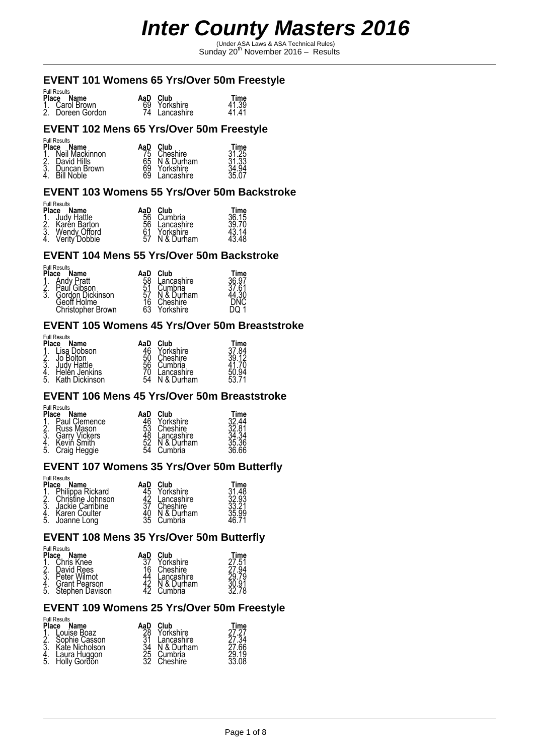(Under ASA Laws & ASA Technical Rules) Sunday 20th November 2016 – Results

#### **EVENT 101 Womens 65 Yrs/Over 50m Freestyle**

| <b>Full Results</b>                |                               |                |
|------------------------------------|-------------------------------|----------------|
| Place Name                         | AaD Club                      | Time           |
| 1. Carol Brown<br>2. Doreen Gordon | 69 Yorkshire<br>74 Lancashire | 41.39<br>41.41 |

#### **EVENT 102 Mens 65 Yrs/Over 50m Freestyle**

#### Full Results

| <b>Place</b>     | Name              | AaD      | Club       | Time           |
|------------------|-------------------|----------|------------|----------------|
| $\frac{1}{2}$    | Neil Mackinnon    |          | Cheshire   | 31.25<br>31.33 |
|                  | David Hills       | 65       | N & Durham |                |
| $\overline{3}$ . | Duncan Brown      | 69<br>69 | Yorkshire  | .94            |
|                  | <b>Bill Noble</b> |          | ancashire  | 35.07          |

#### **EVENT 103 Womens 55 Yrs/Over 50m Backstroke**

#### Full Results

|                                                                                               | AaD      | Club          | Time           |
|-----------------------------------------------------------------------------------------------|----------|---------------|----------------|
| <b>Place Name</b><br>1. Judy Hattle<br>2. Karen Barton<br>3. Wendy Offord<br>4. Verity Dobbie | 56<br>56 | Cumbria       | 36.15<br>39.70 |
|                                                                                               |          | Lancashire    |                |
|                                                                                               | 61       | Yorkshire     | 43.14<br>43.48 |
|                                                                                               |          | 57 N & Durham |                |

#### **EVENT 104 Mens 55 Yrs/Over 50m Backstroke**

Full Results

| <b>Place</b>  | Name              | AaD             | <b>Club</b> | Time           |
|---------------|-------------------|-----------------|-------------|----------------|
| $\frac{1}{2}$ | <b>Andy Pratt</b> | $\frac{58}{51}$ | Lancashire  | 36.97<br>37.61 |
|               | Paul Gibson       |                 | Cumbria     |                |
| $\bar{3}$ .   | Gordon Dickinson  | 57              | N & Durham  | .30            |
|               | Geoff Holme       | $\frac{16}{63}$ | Cheshire    |                |
|               | Christopher Brown |                 | Yorkshire   |                |

#### **EVENT 105 Womens 45 Yrs/Over 50m Breaststroke**

| <b>Place</b>         | <b>Full Results</b><br>Name                                                | AaD                  | Club                                                         | Time               |
|----------------------|----------------------------------------------------------------------------|----------------------|--------------------------------------------------------------|--------------------|
| 2.<br>3.<br>4.<br>5. | Lisa Dobson<br>Jo Bolton<br>Judy Hattle<br>Helén Jenkins<br>Kath Dickinson | 50<br>56<br>70<br>54 | Yorkshire<br>Cheshire<br>Cumbria<br>Lancashire<br>N & Durham | 37.84<br>12<br>53. |

#### **EVENT 106 Mens 45 Yrs/Over 50m Breaststroke**

#### Full Results

| <b>Place</b>     | Name                        | AaD            | Club                  | Time           |
|------------------|-----------------------------|----------------|-----------------------|----------------|
| $\overline{2}$ : | Paul Clemence<br>Russ Mason | 46<br>53<br>48 | Yorkshire<br>Cheshire | 32.44<br>32.81 |
| $\bar{3}$        | <b>Garry Vickers</b>        |                | Lancashire            | .34            |
| $\frac{4}{5}$    | Kevin Smith<br>Craig Heggie | 52<br>54       | N & Durham<br>Cumbria | 35.36<br>36.66 |

#### **EVENT 107 Womens 35 Yrs/Over 50m Butterfly**

| <b>Place</b><br>$\frac{2}{3}$ : | <b>Full Results</b><br>Name<br>Philippa Rickard<br>Christine Johnson<br>Jackie Carribine<br>Karen Coulter | AaD<br>45 | Club<br>Yorkshire<br>Lancashire<br>Cheshire<br>N & Durham | Time<br>31.48<br>32.93<br>35.99 |
|---------------------------------|-----------------------------------------------------------------------------------------------------------|-----------|-----------------------------------------------------------|---------------------------------|
| 5.                              | Joanne Long                                                                                               | 35        | Cumbria                                                   |                                 |

#### **EVENT 108 Mens 35 Yrs/Over 50m Butterfly**

#### Full Results

| Place          | Name            | AaD | Club        | Time          |
|----------------|-----------------|-----|-------------|---------------|
| Ÿ.             | Chris Knee      | 27  | Yorkshire   | $.5^{\prime}$ |
| <u>بر</u><br>3 | David Rees      | 16  | Cheshire    | .94           |
|                | Peter Wilmot    | 44  | ' ancashire | 79            |
| 4.<br>5.       | Grant Pearson   |     | & Durham    |               |
|                | Stephen Davison | 47  | Cumbria     |               |

#### **EVENT 109 Womens 25 Yrs/Over 50m Freestyle**

| 28<br>31<br>Yorkshire<br>Louise Boaz<br>Sophie Casson<br>ancashire | <b>Full Results</b><br><b>Place</b><br>Name | Club<br>AaD                  | Time          |
|--------------------------------------------------------------------|---------------------------------------------|------------------------------|---------------|
| Cumbria<br>Laura Huggon<br>Holly Gordon<br>4.<br>5.<br>Cheshire ∶  | 3<br>Kate Nicholson                         | N & Durham<br>34<br>25<br>32 | 34 '<br>27.66 |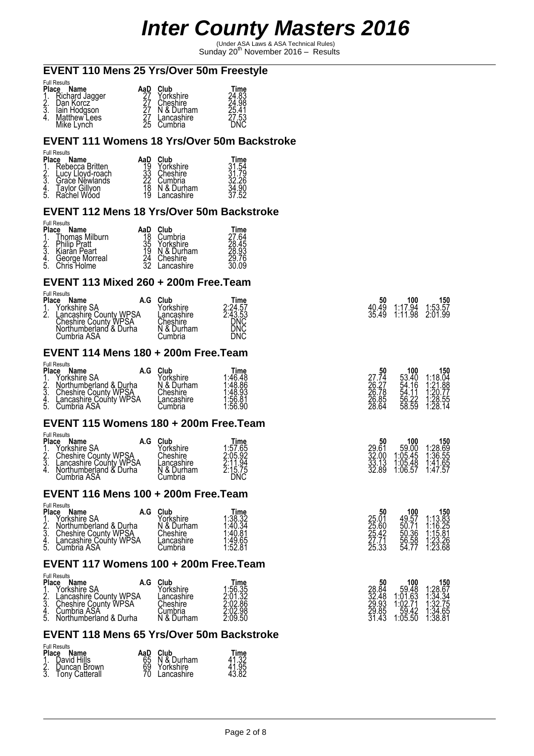(Under ASA Laws & ASA Technical Rules) Sunday 20th November 2016 – Results

#### **EVENT 110 Mens 25 Yrs/Over 50m Freestyle**

| <b>Place</b><br>$\overline{3}$ . | <b>Full Results</b><br>Name<br>Richard Jagger<br>Dan Korcz<br>lain Hodgson<br>Matthew Lees | AaD | Club<br>Yorkshire<br>Cheshire<br>N & Durham<br>Lancashire | Time<br>24.98<br>25.41<br>53: |
|----------------------------------|--------------------------------------------------------------------------------------------|-----|-----------------------------------------------------------|-------------------------------|
|                                  | Mike Lynch                                                                                 | 25  | Cumbria                                                   |                               |

#### **EVENT 111 Womens 18 Yrs/Over 50m Backstroke**

| <b>Full Results</b> |     |
|---------------------|-----|
| Diaco               | Nom |

| Place           | Name                                 | AaD      | Club                      | Time       |
|-----------------|--------------------------------------|----------|---------------------------|------------|
| $\frac{1}{2}$ . | Rebecca Britten<br>Lucy Lloyd-roach  |          | Yorkshire<br>Cheshire     | 54         |
|                 | Grace Néwlands                       | 33<br>22 | Cumbria                   | 79<br>26   |
| $\frac{4}{5}$   | <b>Taylor Gillyon</b><br>Rachel Wood | 19       | N & Durham<br>' ancashire | .90<br>.52 |

#### **EVENT 112 Mens 18 Yrs/Over 50m Backstroke**

|     | <b>Full Results</b> |  |
|-----|---------------------|--|
| . . |                     |  |

| <b>Place</b>  | Name                  | AaD | Club       | Time           |
|---------------|-----------------------|-----|------------|----------------|
|               | <b>Thomas Milburn</b> | 18  | Cumbria    | 7.64           |
| $\frac{1}{2}$ | <b>Philip Pratt</b>   | 35  | Yorkshire  | ōò<br>45       |
| $\bar{3}$ .   | Kiaran Peart          | 19  | N & Durham | 28.93          |
| 4.<br>5.      | George Morreal        | 24  | Cheshire   | 29.76<br>30.09 |
|               | Chris Holme           | 32  | .ancashire |                |

#### **EVENT 113 Mixed 260 + 200m Free.Team**

| <b>Full Results</b><br>Place<br>Name<br>A.G                                                                                        | Club                                                            |                                                 | 50             | 100                    |                           |
|------------------------------------------------------------------------------------------------------------------------------------|-----------------------------------------------------------------|-------------------------------------------------|----------------|------------------------|---------------------------|
| Ýorkshire SA<br>$\overline{2}$ .<br>Lancashire County WPSA<br><b>Cheshire County WPSA</b><br>Northumberland & Durha<br>Cumbria ASA | Vorkshire<br>_ancashire<br>Cheshire<br>& Durham<br>N<br>.ùmbria | Time<br>2:24.57<br>2:43.53<br>DNC<br>DNC<br>ĎŇČ | 40.49<br>35.49 | 1.17<br>.94<br>1:11.98 | 150<br>1:53.57<br>2:01.99 |

### **EVENT 114 Mens 180 + 200m Free.Team**

| .ùmbria | 150<br>100<br>50<br>1:18.04<br>1:21.88<br>1:20.77<br>53.40<br>54.16<br>54.11<br>$1:28.55$<br>$1:28.14$<br>56.22<br>58.59 | 27.74<br>26.27<br>26.78<br>26.85<br>28.64 | Time<br>1:46.48<br>1:48.86<br>1:48.93<br>1:56.81<br>1:56.90 | Club<br>′orkshire<br>& Durham<br>N<br>Cheshire<br>.ancashire | A.G<br>Lancashire County WPSA | <b>Full Results</b><br><b>Place</b><br>Name<br>Yorkshire SA<br>4<br>$\frac{2}{3}$<br>Northumberland & Durha<br>Cheshire County WPSA<br>J.<br>4.<br>5.<br>Cumbria ASA |
|---------|--------------------------------------------------------------------------------------------------------------------------|-------------------------------------------|-------------------------------------------------------------|--------------------------------------------------------------|-------------------------------|----------------------------------------------------------------------------------------------------------------------------------------------------------------------|
|---------|--------------------------------------------------------------------------------------------------------------------------|-------------------------------------------|-------------------------------------------------------------|--------------------------------------------------------------|-------------------------------|----------------------------------------------------------------------------------------------------------------------------------------------------------------------|

#### **EVENT 115 Womens 180 + 200m Free.Team**

|                 | <b>Full Results</b>                                   |     |                        |                    |                         |                                                              |                                      |
|-----------------|-------------------------------------------------------|-----|------------------------|--------------------|-------------------------|--------------------------------------------------------------|--------------------------------------|
|                 | <b>Name</b><br>Porkshire SA                           | A.G | Club<br>Yorkshire      | Time<br>1:57.65    | 50<br>$29.6^{\circ}$    | 100<br>59.00                                                 | 150<br>1:28.69                       |
| $\frac{2}{3}$ . | <b>Cheshire County WPSA</b><br>Lancashire County WPSA |     | Cheshire<br>_ancashire | 2.05.92<br>2:11.94 | 32.00<br>33.13<br>32.89 | $\begin{array}{c} 1.05.45 \\ 1.05.48 \\ 1.06.57 \end{array}$ | $\frac{1.56.55}{1.41.65}$<br>1:41.65 |
| 4.              | Northumberland & Durha<br>Cumbria ASA                 |     | N & Durham<br>Cumbria  | 2:15.75<br>DNC     |                         |                                                              |                                      |

#### **EVENT 116 Mens 100 + 200m Free.Team**

| <b>Full Results</b><br><b>Place</b><br>Name<br>Yorkshire SA<br>1<br>$\frac{2}{3}$<br>Northumberland & Durha<br><b>Cheshire County WPSA</b><br>Lancashire County WPSA<br>4.<br>5.<br>Cumbria ASA | A.G | Club<br>Yorkshire<br>& Durham<br>N<br>Cheshire<br>.ancashire<br>.ùmbria | Time<br>1:38.32<br>$\frac{1.40.34}{1.40.81}$<br>$1.49.65$<br>$1.52.81$ | 50<br>25.01<br>25.60<br>25.42<br>27.71<br>25.33 | 100<br>49.57<br>50.71<br>50.36<br>56.58<br>54.77 | 150<br>$1:13.\overline{83}$<br>$1:16.25$<br>$1:15.\overline{81}$<br>$1.23.26$<br>$1.23.68$ |
|-------------------------------------------------------------------------------------------------------------------------------------------------------------------------------------------------|-----|-------------------------------------------------------------------------|------------------------------------------------------------------------|-------------------------------------------------|--------------------------------------------------|--------------------------------------------------------------------------------------------|
|                                                                                                                                                                                                 |     |                                                                         |                                                                        |                                                 |                                                  |                                                                                            |

#### **EVENT 117 Womens 100 + 200m Free.Team**

| Place<br>ή.<br>ş. | <b>Full Results</b><br>Name<br>A.G<br>Yorkshire SA<br>Lancashire County WPSA<br>Cheshire County WPSA | Club<br>Yorkshire<br>Lancashire<br>Cheshire | Time<br>$1.56.35$<br>$2.01.32$ | 50<br>28.84<br>32.48    | 100<br>59.48<br>1:01.63<br>74     | 150<br>1:28.67<br>1:34.34                                    |
|-------------------|------------------------------------------------------------------------------------------------------|---------------------------------------------|--------------------------------|-------------------------|-----------------------------------|--------------------------------------------------------------|
| 4.<br>5.          | Cumbria ASA<br>Northumberland & Durha                                                                | انٽٽٽ<br>& Durham<br>N                      | 2:02.86<br>2:02:98<br>2:09:50  | 29.93<br>29.85<br>31.43 | 1:02.7<br>$\frac{55.42}{1.05.50}$ | $\begin{array}{c} 1.32.75 \\ 1.34.65 \\ 1.38.81 \end{array}$ |

## **EVENT 118 Mens 65 Yrs/Over 50m Backstroke**

| <b>Full Results</b><br>Place Name                      | AaD | Club                                                         | Time                    |
|--------------------------------------------------------|-----|--------------------------------------------------------------|-------------------------|
| 1. David Hills<br>2. Duncan Brown<br>3. Tony Catterall |     | 65 N & Durham<br>69 Yorkshire<br>70 Lancashire<br>Lancashire | 41.32<br>41.95<br>43.82 |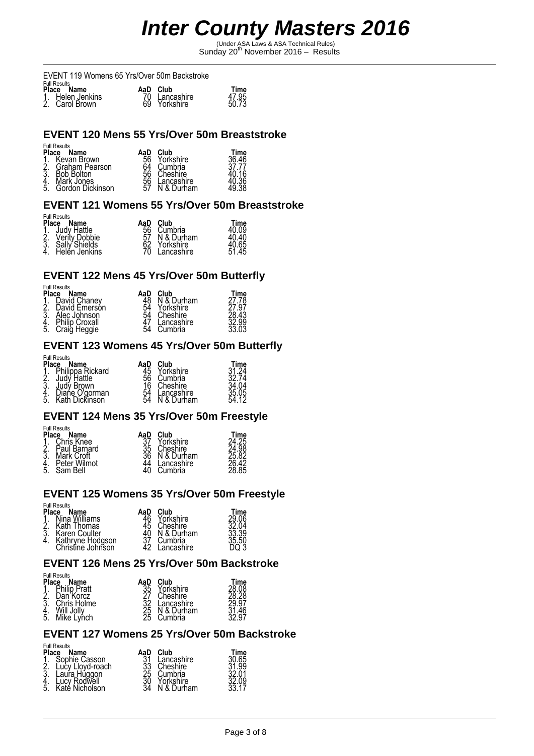(Under ASA Laws & ASA Technical Rules) Sunday 20th November 2016 – Results

EVENT 119 Womens 65 Yrs/Over 50m Backstroke

| <b>Full Results</b>                |               |       |
|------------------------------------|---------------|-------|
| Place Name                         | AaD Club      | Time  |
|                                    | 70 Lancashire | 47.95 |
| 1. Helen Jenkins<br>2. Carol Brown | 69 Yorkshire  | 50.73 |

### **EVENT 120 Mens 55 Yrs/Over 50m Breaststroke**

|       | <b>Full Results</b> |    |
|-------|---------------------|----|
| aneld |                     | Ν۵ |

| Place<br>1.<br>2.<br>3.<br>4. | Name<br>Kevan Brown<br>Graham Pearson<br><b>Bob Bolton</b><br>Mark Jones | AaD<br>56 | Club<br>Yorkshire<br>Cumbria<br>Cheshire<br>Lancashire | Time<br>36.46<br>36 |
|-------------------------------|--------------------------------------------------------------------------|-----------|--------------------------------------------------------|---------------------|
| 5.                            | Gordon Dickinson                                                         | 57        | N & Durham                                             | 49.38               |

#### **EVENT 121 Womens 55 Yrs/Over 50m Breaststroke**

#### Full Results

| <b>Place</b> | Name                                                                                                       | AaD | Club       | Time           |
|--------------|------------------------------------------------------------------------------------------------------------|-----|------------|----------------|
|              | 1. Judy Hattle<br>2. Verity Dobbie<br>3. Sally Shields<br>4. Helen Jenkins<br>Judy Hattle<br>Verity Dobbie | 56  | Cumbria    | 40.09<br>40.40 |
|              |                                                                                                            | 57  | N & Durham |                |
|              |                                                                                                            | 62  | Yorkshire  | 40.65          |
|              | Helen Jenkins                                                                                              | ŽŌ. | Lancashire | 51.45          |

#### **EVENT 122 Mens 45 Yrs/Over 50m Butterfly**

Full Results

| <b>Place</b>  | Name                  | AaD      | Club       | Time  |
|---------------|-----------------------|----------|------------|-------|
|               | David Chanev          |          | N & Durham | 27.78 |
| $\frac{2}{3}$ | David Emerson         | 54<br>54 | Yorkshire  | .97   |
|               | Alec Johnson          |          | Cheshire   | .43   |
|               | <b>Philip Croxall</b> | Ă7       | Lancashire | ∠.99⊥ |
| .5            | Craig Heggie          | 54       | Cumbria    | 33.03 |

#### **EVENT 123 Womens 45 Yrs/Over 50m Butterfly**

Full Results

| Place<br>Name<br>AaD |                                  | Club | Time       |       |
|----------------------|----------------------------------|------|------------|-------|
| 1                    | Philippa Rickard                 | 45   | Yorkshire  | -24   |
|                      | Judy Hattle                      | 56   | Cumbria    | 32 74 |
| Ş.                   | Judý Brown                       | 16   | Cheshire   |       |
|                      | Diane O'gorman<br>Kath Dickinson | 54   | Lancashire | 35.05 |
| 4.<br>5.             |                                  | 54   | & Durham   |       |

#### **EVENT 124 Mens 35 Yrs/Over 50m Freestyle**

| <b>Place</b><br>2.<br>$\overline{3}$ | <b>Full Results</b><br>Name<br>Chris Knee<br>Paul Barnard<br>Mark Croft<br>Peter Wilmot | AaD<br>$\bar{3}5$<br>36 | Club<br>Yorkshire<br>Cheshire<br>N & Durham<br>Lancashire | Time<br>24.98<br>25.82 |
|--------------------------------------|-----------------------------------------------------------------------------------------|-------------------------|-----------------------------------------------------------|------------------------|
| 4.<br>5.                             | Sam Bell                                                                                |                         | Cumbria                                                   | 28.85                  |

#### **EVENT 125 Womens 35 Yrs/Over 50m Freestyle**

#### Full Results

| <b>Place</b>    | Name                              | AaD | Club                  | Time           |
|-----------------|-----------------------------------|-----|-----------------------|----------------|
| $\frac{1}{2}$ . | Nina Williams                     |     | Yorkshire             | 29.06<br>32.04 |
|                 | Kath Thomas                       | 45  | Cheshire              | 33.39          |
| Ă.              | Karen Coulter<br>Kathryne Hodgson |     | N & Durham<br>Cumbria | 35.50          |
|                 | Christine Johnson                 |     | Lancashire            |                |

#### **EVENT 126 Mens 25 Yrs/Over 50m Backstroke**

### Full Results

| <b>Place</b><br>Name<br>АаС |              | Club     | Time      |       |
|-----------------------------|--------------|----------|-----------|-------|
|                             | Philip Pratt | 35<br>27 | Yorkshire |       |
| 2.                          | Dan Korcz    |          | Cheshire  |       |
| 3.                          | Chris Holme  | 32       | ancashire | 29.97 |
|                             |              | 25<br>25 | & Durham  |       |
| -5.                         | Mike Lynch   |          | Cumbria   | 97    |

### **EVENT 127 Womens 25 Yrs/Over 50m Backstroke**

| <b>Full Results</b><br><b>Place</b><br>Name | AaD                  | Club                    | Time        |
|---------------------------------------------|----------------------|-------------------------|-------------|
| Sophie Casson<br>2.<br>Lucy Lloyd-roach     | 31                   | Lancashire<br>Cheshire  | 30.65<br>99 |
| $\bar{3}$<br>Laura Huggon                   |                      | Cumbria                 |             |
| Lucy Rodwell<br>Katé Nicholson<br>5.        | 33<br>25<br>30<br>34 | Yorkshire<br>N & Durham |             |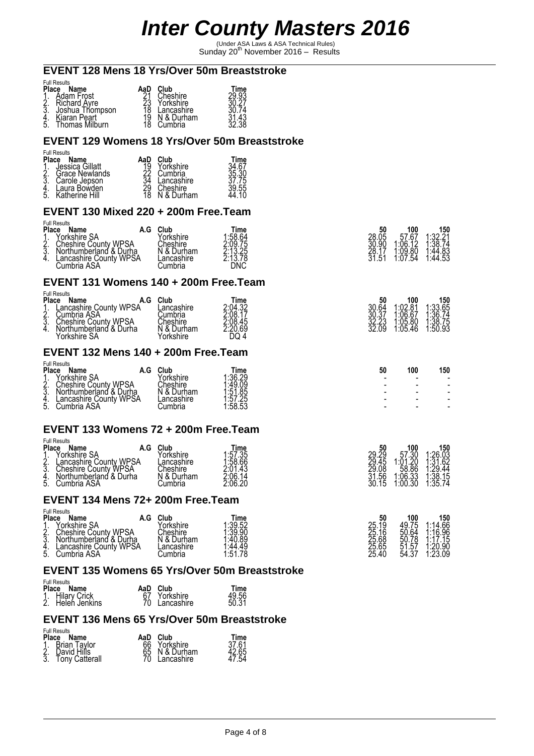(Under ASA Laws & ASA Technical Rules) Sunday 20th November 2016 – Results

#### **EVENT 128 Mens 18 Yrs/Over 50m Breaststroke**

| <b>Place</b> | <b>Full Results</b><br>Name     | AaD | Club                     | Time |
|--------------|---------------------------------|-----|--------------------------|------|
|              | Adam Frost<br>Richard Avre      |     | Cheshire<br>Yorkshire    | 93   |
| 3            | Joshua Thompson<br>Kiaran Peart |     | Lancashire<br>N & Durham |      |
| 5.           | Thomas Milburn                  |     | Cumbria                  | 38   |

#### **EVENT 129 Womens 18 Yrs/Over 50m Breaststroke**

| <b>Full Results</b> |     |
|---------------------|-----|
| Diaco               | Nom |

| Place Name                                                  | AaD          | <b>Club</b>            | Time           |
|-------------------------------------------------------------|--------------|------------------------|----------------|
| 1. Jessica Gillatt<br>2. Grace Newlands<br>3. Carole Jepson |              | Yorkshire<br>Cumbria   | 34.67<br>35.30 |
|                                                             | 34           | Lancashire             | 37.75          |
| 4. Laura Bowden<br>5. Katherine Hill                        | $^{29}_{18}$ | Cheshire<br>N & Durham | 39.55<br>44.10 |

#### **EVENT 130 Mixed 220 + 200m Free.Team**

| <b>Full Results</b><br><b>Place Name</b><br>Porkshire SA<br>$\phi$<br><b>Cheshire County WPSA</b><br>$\frac{2}{3}$<br>Northumberland & Durha | Club<br>Yorkshire<br>Cheshire<br>N & Durham | Time<br>1:58.64<br>2:09.75 | 50<br>28.05<br>30.90<br>28.1<br><b>F1</b> | 100<br>57.67<br>1:06.12<br>$1:09.80$<br>$1:07.54$ | 150<br>1:32.21<br>1:38.74<br>$1.44.83$<br>$1.44.53$ |
|----------------------------------------------------------------------------------------------------------------------------------------------|---------------------------------------------|----------------------------|-------------------------------------------|---------------------------------------------------|-----------------------------------------------------|
| Lancashire County WPSA<br>4.<br>Cumbria ASA                                                                                                  | Lancashire<br>.ùmbria                       | 2:13.25<br>2:13.78<br>DNC  |                                           |                                                   |                                                     |

#### **EVENT 131 Womens 140 + 200m Free.Team**

| <b>Full Results</b>                                                                                                                                                                   |     |                                                                      |                                                          |                               |                                                                                |                                                                                |
|---------------------------------------------------------------------------------------------------------------------------------------------------------------------------------------|-----|----------------------------------------------------------------------|----------------------------------------------------------|-------------------------------|--------------------------------------------------------------------------------|--------------------------------------------------------------------------------|
| <b>Place</b><br>Name<br>Lancashire County WPSA<br>$\overline{ }$<br>$\frac{1}{3}$<br>Cumbria ASA<br><b>Cheshire County WPSA</b><br>J.<br>Northumberland & Durha<br>4.<br>Yorkshire SA | A.G | Club<br>.ancashire<br>Cumbria<br>Cheshire<br>N & Durham<br>Yorkshire | Time<br>2:04.32<br>2:08.17<br>2:08.45<br>2:20.69<br>DQ 4 | 50<br>30.64<br>30.37<br>32.69 | 100<br>1:02.81<br>$\begin{array}{c} 1.06.67 \\ 1.05.80 \\ 1.05.46 \end{array}$ | 150<br>1:33.65<br>$\begin{array}{c} 1.36.74 \\ 1.38.75 \\ 1.50.93 \end{array}$ |

### **EVENT 132 Mens 140 + 200m Free.Team**

|          | <b>Full Results</b>         |     |                    |                        |    |     |     |
|----------|-----------------------------|-----|--------------------|------------------------|----|-----|-----|
| Place    | Name                        | A.G | Club               | Time<br>1:36.29        | 50 | 100 | 150 |
| . .      | Ýorkshire SA                |     | orkshire'          |                        |    |     |     |
|          | <b>Cheshire County WPSA</b> |     | Cheshire           | 49.09: ا               |    |     |     |
| 2.<br>3. | Northumberland & Durha      |     | ∍<br>& Durham<br>N | 1:51<br>.85            |    |     |     |
|          | Lancashire County WPSA      |     | ancashire          |                        |    |     |     |
| 4.<br>5. | Cumbria ASA                 |     | ∶umbria            | $1.57.25$<br>$1.58.53$ |    |     |     |
|          |                             |     |                    |                        |    |     |     |

#### **EVENT 133 Womens 72 + 200m Free.Team**  Full Results

| ulliteaulla             |                                 |                 |                               |                |                                                              |                                                              |
|-------------------------|---------------------------------|-----------------|-------------------------------|----------------|--------------------------------------------------------------|--------------------------------------------------------------|
| Place<br>Name           | $\overline{\phantom{a}}$<br>A.U | Club            | Time                          | 50             | 100                                                          | 1 <b>50</b><br>1:26.03<br>1:31.62                            |
| Yorkshire SA            |                                 | Yorkshire       |                               |                | 57<br>7.30<br>1.20                                           |                                                              |
| n                       | ancashire County WPSA           | _ancashire      | 1:57.35<br>1:58.66            | 29.29<br>29.45 | 1:01                                                         |                                                              |
| $rac{2}{3}$             | <b>Cheshire County WPSA</b>     | Cheshire        |                               |                |                                                              |                                                              |
|                         | ا &<br>Durha<br>Northumberland  | & '<br>Durham   |                               | 29.08<br>31.56 |                                                              |                                                              |
| 4.<br>5.<br>Cumbria ASA |                                 | <i>C</i> umbria | 2:01.43<br>2:06.14<br>2:06.20 | .15<br>30.     | $\begin{array}{r} 1.58.86 \\ 1.06.33 \\ 1.00.30 \end{array}$ | $\begin{array}{c} 1.29.44 \\ 1.38.15 \\ 1.35.74 \end{array}$ |

#### **EVENT 134 Mens 72+ 200m Free.Team**

| rull Results<br><b>Place Name</b><br>Yorkshire SA<br>$\frac{2}{3}$<br><b>Cheshire County WPSA</b><br>Northumberland & Durha<br>Lancashire County WPSA<br>4.<br>Cumbria ASA<br>5. | A.G | Club<br>orkshire'<br>Cheshire<br>N & Durham<br>∟ancashire<br>Cumbria | Time<br>1:39.52<br>$1:39.90$<br>$1:40.89$<br>1:44.49<br>1:51.78<br>.78 | 50<br>25.19<br>25.16<br>25.68<br>25.65<br>25.40 | 100<br>49.75<br>50.64<br>50.78<br>51.57<br>-27<br>54.3 | 150<br>1:14.66<br>$1:16.96$<br>$1:17.15$<br>$1:20.90$<br>1:23.09 |
|----------------------------------------------------------------------------------------------------------------------------------------------------------------------------------|-----|----------------------------------------------------------------------|------------------------------------------------------------------------|-------------------------------------------------|--------------------------------------------------------|------------------------------------------------------------------|
|                                                                                                                                                                                  |     |                                                                      |                                                                        |                                                 |                                                        |                                                                  |

#### **EVENT 135 Womens 65 Yrs/Over 50m Breaststroke**

#### Full Results

Full Results

| Place Name                          | AaD | Club          | Time           |
|-------------------------------------|-----|---------------|----------------|
| 1. Hilary Crick<br>2. Helen Jenkins |     | 67 Yorkshire  | 49.56<br>50.31 |
|                                     |     | 70 Lancashire |                |

#### **EVENT 136 Mens 65 Yrs/Over 50m Breaststroke**

| <b>Full Results</b><br>Place Name                      | Club<br>AaD                                                     | Time                    |
|--------------------------------------------------------|-----------------------------------------------------------------|-------------------------|
| 1. Brian Taylor<br>2. David Hills<br>3. Tony Catterall | 66<br>Yorkshire<br>65 N & Durham<br>70 Lancashire<br>Lancashire | 37.61<br>42.65<br>47.54 |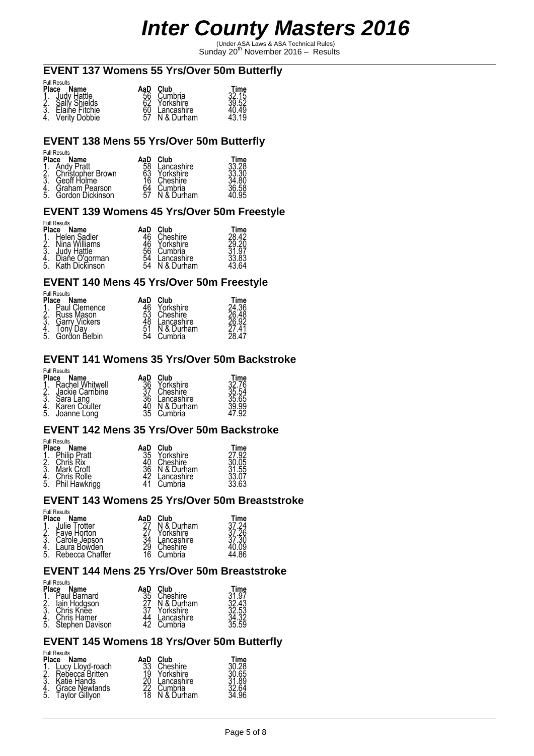(Under ASA Laws & ASA Technical Rules) Sunday 20th November 2016 – Results

#### **EVENT 137 Womens 55 Yrs/Over 50m Butterfly**

|    | <b>Full Results</b> |  |
|----|---------------------|--|
| ы. |                     |  |

| <b>Place Name</b><br>1. Judy Hattle<br>2. Sally Shields<br>3. Elaine Fitchie<br>4. Verity Dobbie | AaD Club<br>56 Cumbria<br>62 Yorkshire<br>60 Lancashire | Time<br>32.15<br>39.52<br>40.49<br>43.19 |
|--------------------------------------------------------------------------------------------------|---------------------------------------------------------|------------------------------------------|
|                                                                                                  | $57$ N & Durham                                         |                                          |

#### **EVENT 138 Mens 55 Yrs/Over 50m Butterfly**

#### Full Results

| Place                 | Name              | AaD            | Club       | Time                    |
|-----------------------|-------------------|----------------|------------|-------------------------|
|                       | Andy Pratt        | 58<br>63<br>16 | ancashire  | 33.28<br>33.30<br>34.80 |
| $\frac{1}{2}$ :<br>3. | Christopher Brown |                | Yorkshire  |                         |
|                       | Geoff Holme       |                | Cheshire   |                         |
| $rac{4}{5}$           | Graham Pearson    | 64<br>57       | Cumbria    | 36.58<br>40.95          |
|                       | Gordon Dickinson  |                | N & Durham |                         |

#### **EVENT 139 Womens 45 Yrs/Over 50m Freestyle**

Full Results

| Place   | Name                | АаС      | Club       | "ime  |
|---------|---------------------|----------|------------|-------|
|         | <b>Helen Sadler</b> |          | Cheshire   | ററ    |
| 2.      | Nina Williams       |          | Yorkshire  | 29.20 |
| ર<br>Ų٠ | ludy Hattle         | 56<br>54 | Cumbria    | 97    |
|         | Diańe O'ɑorman      |          | .ancashire |       |
| .5      | Kath Dickinson      | Š4       | & Durham   |       |

#### **EVENT 140 Mens 45 Yrs/Over 50m Freestyle**

Full Results

| <b>Place</b> | i uli i vcourto<br>Name     | AaD            | Club                   | Time           |
|--------------|-----------------------------|----------------|------------------------|----------------|
|              | Paul Clemence               |                | Yorkshire              | 24.36          |
| 2.<br>3.     | Russ Mason<br>Garry Vickers | 53<br>48<br>51 | Cheshire<br>Lancashire | 26.92          |
|              | Fonv Dav                    |                | ⊦& Durham              | 4 <sup>1</sup> |
| 5.           | Gordon Belbin               | 54             | Cumbria                | 28.47          |

#### **EVENT 141 Womens 35 Yrs/Over 50m Backstroke**

Full Results

| <b>Place</b> | Name                                                              | AaD                  | ∩ub.                                              | Time                             |
|--------------|-------------------------------------------------------------------|----------------------|---------------------------------------------------|----------------------------------|
| 2.<br>ş      | Rachel Whitwell<br>Jackie Carribine<br>Sara Lang<br>Karen Coulter | 36<br>36<br>40<br>35 | Yorkshire<br>Cheshire<br>Lancashire<br>N & Durham | 32.76<br>35.54<br>35.65<br>9.99ء |
| 4.<br>5.     | Joanne Long                                                       |                      | Cumbria                                           | 92                               |

#### **EVENT 142 Mens 35 Yrs/Over 50m Backstroke**

Full Results

| <b>Place</b> | Name          | AaD | Club       |                |
|--------------|---------------|-----|------------|----------------|
|              | Philip Pratt  | 35  | Yorkshire  | Time<br>27.92  |
| $\dot{2}$    | Chris Rix     |     | Cheshire   | 30.05          |
| Į3.          | Mark Croft    | 36  | N & Durham | 31.55<br>33.07 |
|              | Chris Rolle   |     | Lancashire |                |
| 5.           | Phil Hawkrigg |     | Cumbria    | 33.63          |

#### **EVENT 143 Womens 25 Yrs/Over 50m Breaststroke**

Full Results

| <b>Place</b><br>4.<br>5. | Name<br>Julie Trotter<br>Fave Horton<br>Carole Jepson<br>Laura Bowden<br>Rebecca Chaffer | AaD<br>29<br>16 | Club<br>N & Durham<br>Yorkshire<br>Lancashire<br>Cheshire<br>Cumbrial | Time<br>37 24<br>26<br>3ŏ |
|--------------------------|------------------------------------------------------------------------------------------|-----------------|-----------------------------------------------------------------------|---------------------------|
|                          |                                                                                          |                 |                                                                       |                           |

### **EVENT 144 Mens 25 Yrs/Over 50m Breaststroke**

| Place<br>1.<br>2.<br>3.<br>5. | <b>Full Results</b><br>Name<br>Paul Barnard<br>lain Hodgson<br>Chris Kněe<br>Chris Hamer | AaD | Club<br>Cheshire<br>N & Durham<br>Yorkshire | Time<br>31.97<br>32.43<br>32.53<br>34.32 |
|-------------------------------|------------------------------------------------------------------------------------------|-----|---------------------------------------------|------------------------------------------|
|                               | Stephen Davison                                                                          |     | Lancashire<br>Cumbria                       | 35.59                                    |

#### **EVENT 145 Womens 18 Yrs/Over 50m Butterfly**

|                                                | <b>Full Results</b>                                                          |                             |                                                        |                                          |
|------------------------------------------------|------------------------------------------------------------------------------|-----------------------------|--------------------------------------------------------|------------------------------------------|
| <b>Place</b><br>$\frac{1}{2}$ :<br>$rac{4}{5}$ | Name<br>Lucy Lloyd-roach<br>Rebecca Britten<br>Katie Hands<br>Grace Newlands | AaD<br>33<br>19<br>20<br>22 | Club<br>Cheshire<br>Yorkshire<br>Lancashire<br>Cumbria | Time<br>30.28<br>30.65<br>31.89<br>32.64 |
|                                                | Tavlor Gillvon                                                               |                             | N & Durham                                             | 34.96                                    |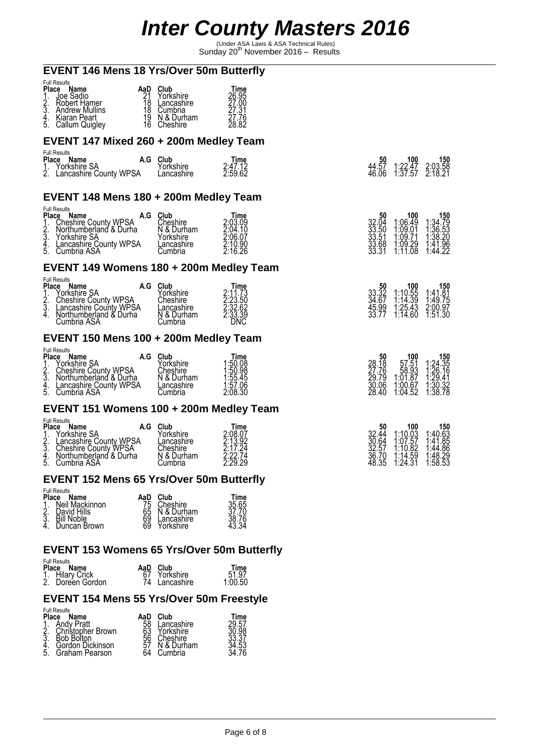(Under ASA Laws & ASA Technical Rules) Sunday 20th November 2016 – Results

| <b>EVENT 146 Mens 18 Yrs/Over 50m Butterfly</b>                                                                                                                                                                                                                   |                                                                                       |                                                                 |                                                  |                                                                                                                                             |                                                                                                          |
|-------------------------------------------------------------------------------------------------------------------------------------------------------------------------------------------------------------------------------------------------------------------|---------------------------------------------------------------------------------------|-----------------------------------------------------------------|--------------------------------------------------|---------------------------------------------------------------------------------------------------------------------------------------------|----------------------------------------------------------------------------------------------------------|
| <b>Full Results</b><br>Place Name<br>1. Joe Sadio<br>2. Robert Hamer<br>3. Andrew Mullins<br>4. Kiaran Peart<br>5. Callum Quigley<br>Andrew Mullins<br>Kiaran Peart                                                                                               | AaD Club<br>21 Yorkshire<br>18 Lancashire<br>18 Cumbria<br>19 N&Durham<br>16 Cheshire | Time<br>26.95<br>27.00<br>$\frac{27.31}{27.76}$<br>28.82        |                                                  |                                                                                                                                             |                                                                                                          |
| EVENT 147 Mixed 260 + 200m Medley Team                                                                                                                                                                                                                            |                                                                                       |                                                                 |                                                  |                                                                                                                                             |                                                                                                          |
| <b>Full Results</b><br>Place Name<br>1. Yorkshire SA<br>2. Lancashire County WPSA                                                                                                                                                                                 | A.G Club<br>Yorkshire<br>Lancashire                                                   | Time<br>2:47.12<br>2:59.62                                      | 50<br>44.57<br>46.06                             | 100<br>$1:22.47$<br>$1:37.57$                                                                                                               | 150<br>$2:03.58$<br>$2:18.21$                                                                            |
| EVENT 148 Mens 180 + 200m Medley Team                                                                                                                                                                                                                             |                                                                                       |                                                                 |                                                  |                                                                                                                                             |                                                                                                          |
| <b>Full Results</b><br>Flace Name<br>1. Cheshire County WPSA<br>2. Northumberland & Durha<br>3. Yorkshire SA<br>3. Yorkshire SA<br>5. Cumbria ASA<br>5. Cumbria ASA<br>5. Cumbria ASA                                                                             | Cumbria                                                                               | Time<br>2:03.09<br>2:04.10<br>2:06.07<br>2:10.90<br>2:16.26     | 32.04<br>33.50<br>33.51<br>33.68<br>33.31        | 100<br>1:06.49<br>1:09.01<br>1:09.29<br>1:11.08                                                                                             | 150<br>1:34.79<br>1:36.53<br>1:38.20<br>1:41.96<br>1:44.22                                               |
| EVENT 149 Womens 180 + 200m Medley Team                                                                                                                                                                                                                           |                                                                                       |                                                                 |                                                  |                                                                                                                                             |                                                                                                          |
| <b>Full Results</b><br>Place Name<br>Place Name<br>1. Yorkshire SA<br>2. Cheshire County WPSA Cheshire<br>3. Lancashire County WPSA Lancashire<br>4. Northumberland & Durha N & Durham<br>Cumbria ASA Cumbria                                                     | A.G Club                                                                              | Time<br>2:11.73<br>2:23.50<br>2:32.62<br>2:33.39<br>DNC         | 50<br>33.32<br>34.67<br>45.99<br>33.77           | 100<br>$1:10.55$<br>$1:14.39$<br>$1:25.43$<br>$1:14.60$                                                                                     | 150<br>$\begin{array}{c} 1.41.\overline{81} \\ 1.49.75 \\ 2.00.97 \end{array}$<br>1:51.30                |
| EVENT 150 Mens 100 + 200m Medley Team                                                                                                                                                                                                                             |                                                                                       |                                                                 |                                                  |                                                                                                                                             |                                                                                                          |
| <b>Full Results</b><br>Place Name<br>Name A.G Club<br>Yorkshire SA Yorkshire<br>Cheshire County WPSA Cheshire<br>Northumberland & Durha N & Durham<br>Lancashire County WPSA Lancashire<br>Cumbria ASA Cumbria<br>$\frac{1}{2}$<br>$\frac{2}{3}$<br>$\frac{4}{5}$ | A.G Club                                                                              | Time<br>1:50.08<br>1:50.98<br>$1.55.45$<br>$1.57.06$<br>2:08.30 | $\frac{28.50}{27.76}$<br>29.79<br>30.06<br>28.40 | $\begin{array}{c} \textbf{100} \\ \textbf{57.51} \\ \textbf{58.93} \\ \textbf{1:01.87} \\ \textbf{1:00.67} \\ \textbf{1:04.52} \end{array}$ | 150<br>1:24.35<br>1:26.16<br>1:29.41<br>1:30.32<br>1:38.78                                               |
| EVENT 151 Womens 100 + 200m Medley Team                                                                                                                                                                                                                           |                                                                                       |                                                                 |                                                  |                                                                                                                                             |                                                                                                          |
| <b>Full Results</b><br>Place Name<br>ce Name<br>Yorkshire SA<br>Lancashire County WPSA<br>Cheshire County WPSA<br>Northumberland & Durha<br>$\frac{2}{3}$ .<br>4.5.<br>Cumbria ASA                                                                                | A.G Club<br>Yorkshire<br>Lancashire<br>Cheshire<br>N & Durham<br>Cumbria              | Time<br>2:08.07<br>2:13.92<br>2:17.24<br>2:22.74<br>2:29.29     | 50<br>32.44<br>30.64<br>32.57<br>36.70<br>48.35  | 100<br>$1:10.\overline{0}3$<br>$1:97.57$<br>$\begin{array}{c} 1.10.82 \\ 1.14.59 \\ 1.24.31 \end{array}$                                    | $\begin{array}{c} \n 150 \\  1:40.63 \\  1:41.85 \\  1:44.86\n \end{array}$<br>$\frac{1.48.29}{1.58.53}$ |

#### **EVENT 152 Mens 65 Yrs/Over 50m Butterfly**

| <b>Place</b>         | <b>Full Results</b><br>Name                                 | AaD                  | Club                                              | Time                    |
|----------------------|-------------------------------------------------------------|----------------------|---------------------------------------------------|-------------------------|
| $\frac{1}{2}$ :<br>4 | Neil Mackinnon<br>David Hills<br>Bill Noble<br>Duncan Brown | 75<br>65<br>69<br>69 | Cheshire<br>N & Durham<br>Lancashire<br>Yorkshire | 35.65<br>38.76<br>43.34 |

### **EVENT 153 Womens 65 Yrs/Over 50m Butterfly**

#### Full Results

| טווטטטוווי וווע<br>Place Name       | AaD Club      | Time    |
|-------------------------------------|---------------|---------|
| 1. Hilary Crick<br>2. Doreen Gordon | Yorkshire     | 51.97   |
|                                     | 74 Lancashire | 1:00.50 |

### **EVENT 154 Mens 55 Yrs/Over 50m Freestyle**

| <b>Place</b><br>ঽ | <b>Full Results</b><br>Name<br><b>Andy Pratt</b><br>Christopher Brown | AaD<br>58<br>63 | Club<br>Lancashire<br>Yorkshire   | Time<br>29.57<br>אף חא |
|-------------------|-----------------------------------------------------------------------|-----------------|-----------------------------------|------------------------|
| 4.<br>5.          | <b>Bob Bolton</b><br>Gordon Dickinson<br>Graham Pearson               | 56              | Cheshire<br>N & Durham<br>Cumbria | .53                    |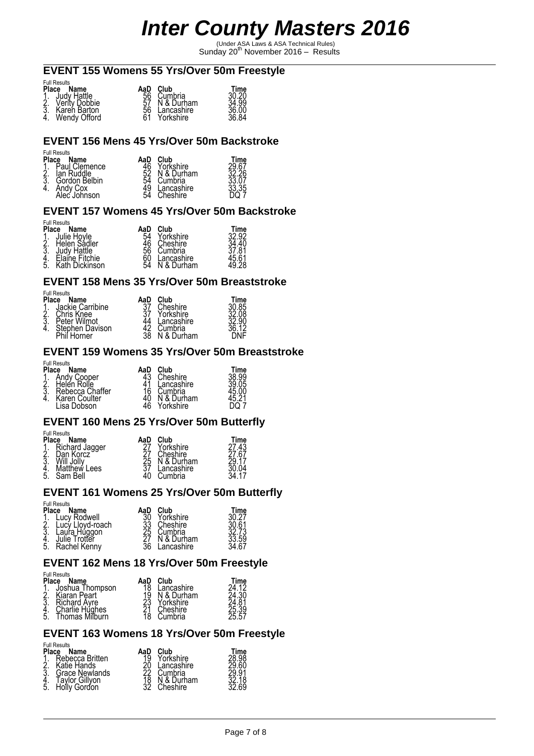(Under ASA Laws & ASA Technical Rules) Sunday 20th November 2016 – Results

# **EVENT 155 Womens 55 Yrs/Over 50m Freestyle**

|    | <b>Full Results</b> |  |
|----|---------------------|--|
| ы. |                     |  |

| Place Name                                                               | AaD | Club                          |                        |
|--------------------------------------------------------------------------|-----|-------------------------------|------------------------|
|                                                                          | 56  | Cumbria                       | Time<br>30.20<br>34.99 |
|                                                                          |     | 57 N & Durham                 |                        |
| 1. Judy Hattle<br>2. Verity Dobbie<br>3. Karen Barton<br>4. Wendy Offord |     | 56 Lancashire<br>61 Yorkshire | 36.00<br>36.84         |
|                                                                          |     | Yorkshire                     |                        |

#### **EVENT 156 Mens 45 Yrs/Over 50m Backstroke**

#### Full Results

| Place                 | Name          | AaD | Club       | Time           |
|-----------------------|---------------|-----|------------|----------------|
|                       | Paul Clemence | 46  | Yorkshire  | 29.67<br>32.26 |
| $\frac{1}{2}$ :<br>4. | lan Ruddle    | 52  | N & Durham |                |
|                       | Gordon Belbin | 54  | Cumbria    | 33.07          |
|                       | Andy Cox      | 49  | Lancashire | 33.35          |
|                       | Alec Johnson  | 54  | Cheshire   |                |

#### **EVENT 157 Womens 45 Yrs/Over 50m Backstroke**

#### Full Results

| <b>Place</b>    | Name           | AaD | Club       | Time  |
|-----------------|----------------|-----|------------|-------|
| $\frac{1}{2}$ : | Julie Hoyle    | 54  | Yorkshire  | 32.92 |
|                 | Helen Sádler   | 46  | Cheshire   |       |
|                 | Judy Hattle    | 56  | Cumbria    | 7.81  |
| <u>4</u> .      | Elaine Fitchie | 60  | .ancashire | 5.61، |
| 5.              | Kath Dickinson | 54  | & Durham   |       |

#### **EVENT 158 Mens 35 Yrs/Over 50m Breaststroke**

Full Results

| <b>Place</b> | Name                           | AaD      | Club                  | ™ime           |
|--------------|--------------------------------|----------|-----------------------|----------------|
| Δ.,          | Jackie Carribine<br>Chris Knee | 27       | Cheshire<br>Yorkshire | រ0.85<br>រ2.08 |
| ঽ            | Peter Wilmot                   |          | Lancashire            |                |
|              | Stephen Davison                | 42<br>38 | Cumbria               |                |
|              | Phil Horner                    |          | & Durham              |                |

#### **EVENT 159 Womens 35 Yrs/Over 50m Breaststroke**

Full Results

| Place | Name                            | AaD      | Club                | Time  |
|-------|---------------------------------|----------|---------------------|-------|
| ⌒     | Andy Cooper                     | 43       | Cheshire            | 38.99 |
|       | Helen Rolle                     |          | .ancashire          | .05   |
| 3     | Rebecca Chaffer                 | 16       | Cumbria<br>& Durham |       |
|       | Karen Coulter<br>Dobson<br>_isa | 40<br>46 | Yorkshire           |       |
|       |                                 |          |                     |       |

#### **EVENT 160 Mens 25 Yrs/Over 50m Butterfly**

Full Results

| <b>Place</b>  | Name              | AaD | Club       | Time  |
|---------------|-------------------|-----|------------|-------|
| $\frac{1}{2}$ | Richard Jagger    |     | Yorkshire  | 27.43 |
|               | Dan Korcz         |     | Cheshire   | 27.67 |
| 3.            | <b>Will Jolly</b> | 25  | N & Durham | 29.17 |
| 4.            | Matthew Lees      |     | Lancashire | 04    |
| 5.            | Sam Bell          | 40  | Cumbria    |       |

#### **EVENT 161 Womens 25 Yrs/Over 50m Butterfly**

#### Full Results

| Place         | Name              | AaD      | Club       | Time         |
|---------------|-------------------|----------|------------|--------------|
|               | Lucy Rodwell      |          | Yorkshire  |              |
| $\frac{2}{3}$ | ∟ucу́ Llovd-roach | 33<br>25 | Cheshire   | 0.61         |
|               | auŕa Húggon.      |          | Cumbria    | 73           |
| 4.<br>5.      | Julie Trotter     |          | N & Durham | 3.59<br>4.67 |
|               | Rachel Kenny      | 36       | ancashire  |              |

#### **EVENT 162 Mens 18 Yrs/Over 50m Freestyle**

### Full Results

| Place                | Name                | AaD            | $C$ lub     | Time  |
|----------------------|---------------------|----------------|-------------|-------|
| 1.<br>2.<br>4.<br>5. | Joshua Thompson     | 18             | ' ancashire | 24 12 |
|                      | Kiaran Peart        | 19<br>23<br>21 | N & Durham  | 24.30 |
|                      | <b>Richard Avre</b> |                | Yorkshire   | 24.81 |
|                      | Charlie Hughes      |                | Cheshire    | 25.39 |
|                      | Thomas Milburn      | 18             | Cumbria     | 25.57 |

#### **EVENT 163 Womens 18 Yrs/Over 50m Freestyle**

| <b>Place</b>                          | <b>Full Results</b><br>Name                                                        | AaD            | Club                                                         | Time               |
|---------------------------------------|------------------------------------------------------------------------------------|----------------|--------------------------------------------------------------|--------------------|
| $\frac{1}{2}$ .<br>3<br>$\frac{4}{5}$ | Rebecca Britten<br>Katie Hands<br>Grace Newlands<br>Tavlor Gillvon<br>Holly Gordon | 19<br>18<br>32 | Yorkshire<br>Lancashire<br>Cumbria<br>N & Durham<br>Cheshire | .98<br>18<br>32.69 |